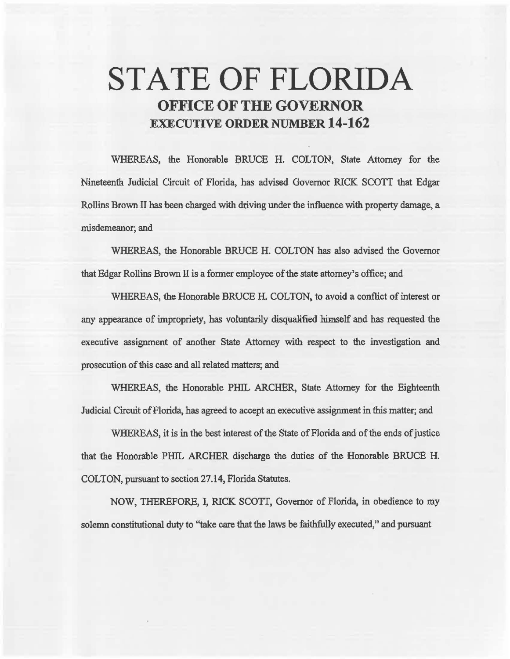# STATE OF FLORIDA OFFICE OF THE GOVERNOR EXECUTIVE ORDER NUMBER 14-162

WHEREAS, the Honorable BRUCE H. COLTON, State Attorney for the Nineteenth Judicial Circuit of Florida, has advised Governor RICK SCOTT that Edgar Rollins Brown II bas been charged with driving under the influence with property damage, a misdemeanor; and

WHEREAS, the Honorable BRUCE H. COLTON has also advised the Governor that Edgar Rollins Brown ll is a fonner employee of 'the state attorney's office; and

WHEREAS, the Honorable BRUCE H. COLTON, to avoid a conflict of interest or any appearance of impropriety, has voluntarily disqualified himself and has requested the executive assignment of another State Attorney with respect to the investigation and prosecution of this case and all related matters; and

WHEREAS, the Honorable PHIL ARCHER, State Attorney for the Eighteenth Judicial Circuit of Florida, has agreed to accept an executive assignment in this matter; and

WHEREAS, it is in the best interest of the State of Florida and of the ends of justice that the Honorable PHIL ARCHER discharge the duties of the Honorable BRUCE H. COLTON, pursuant to section 27.14, Florida Statutes.

NOW, THEREFORE, I, RICK SCOTT, Governor of Florida, in obedience to my solemn constitutional duty to ''take care that the laws be faithfully executed," and pursuant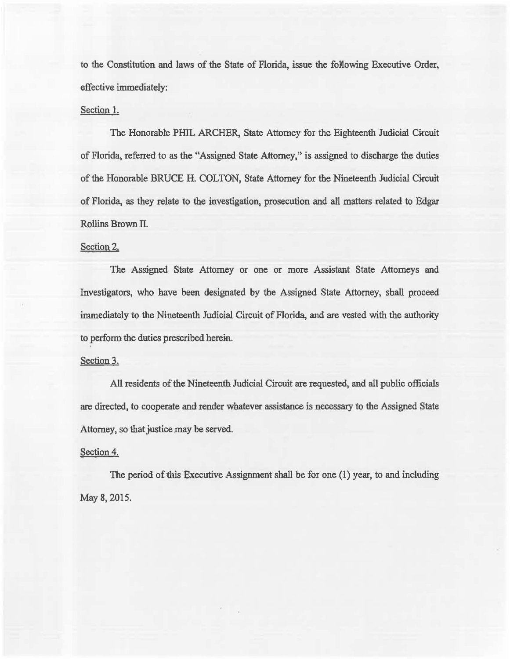to the Constitution and laws of the State of Florida, issue the following Executive Order, effective immediately:

## Section l.

The Honorable PHIL ARCHER, State Attorney for the Eighteenth Judicial Circuit of Florida, referred to as the "Assigned State Attorney,'' is assigned to discharge the duties of the Honorable BRUCE H. COLTON, State Attorney for the Nineteenth Judicial Circuit of Florida, as they relate to the investigation, prosecution and a1l matters related to Edgar Rollins Brown II.

## Section 2.

The Assigned State Attorney or one or more Assistant State Attorneys and Investigators, who have been designated by the Assigned State Attorney, shall proceed immediately to the Nineteenth Judicial Circuit of Florida, and are vested with the authority to perform the duties prescribed herein.

### Section 3.

All residents of the Nineteenth Judicial Circuit are requested, and all public officials are directed, to cooperate and render whatever assistance is necessary to the Assigned State Attorney, so that justice may be served.

## Section 4.

The period of this Executive Assignment shall be for one  $(1)$  year, to and including May 8, 2015.